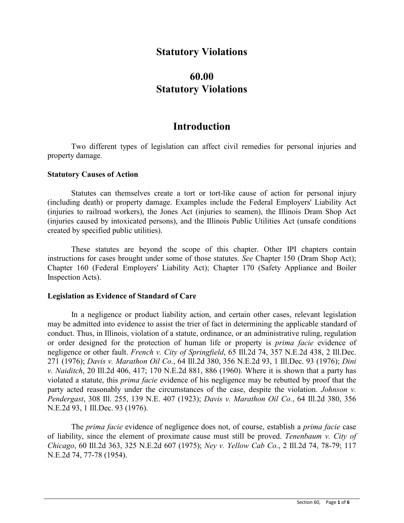## **Statutory Violations**

# **60.00 Statutory Violations**

## **Introduction**

Two different types of legislation can affect civil remedies for personal injuries and property damage.

### **Statutory Causes of Action**

Statutes can themselves create a tort or tort-like cause of action for personal injury (including death) or property damage. Examples include the Federal Employers' Liability Act (injuries to railroad workers), the Jones Act (injuries to seamen), the Illinois Dram Shop Act (injuries caused by intoxicated persons), and the Illinois Public Utilities Act (unsafe conditions created by specified public utilities).

These statutes are beyond the scope of this chapter. Other IPI chapters contain instructions for cases brought under some of those statutes. *See* Chapter 150 (Dram Shop Act); Chapter 160 (Federal Employers' Liability Act); Chapter 170 (Safety Appliance and Boiler Inspection Acts).

## **Legislation as Evidence of Standard of Care**

In a negligence or product liability action, and certain other cases, relevant legislation may be admitted into evidence to assist the trier of fact in determining the applicable standard of conduct. Thus, in Illinois, violation of a statute, ordinance, or an administrative ruling, regulation or order designed for the protection of human life or property is *prima facie* evidence of negligence or other fault. *French v. City of Springfield*, 65 Ill.2d 74, 357 N.E.2d 438, 2 Ill.Dec. 271 (1976); *Davis v. Marathon Oil Co.*, 64 Ill.2d 380, 356 N.E.2d 93, 1 Ill.Dec. 93 (1976); *Dini v. Naiditch*, 20 Ill.2d 406, 417; 170 N.E.2d 881, 886 (1960). Where it is shown that a party has violated a statute, this *prima facie* evidence of his negligence may be rebutted by proof that the party acted reasonably under the circumstances of the case, despite the violation. *Johnson v. Pendergast*, 308 Ill. 255, 139 N.E. 407 (1923); *Davis v. Marathon Oil Co.*, 64 Ill.2d 380, 356 N.E.2d 93, 1 Ill.Dec. 93 (1976).

The *prima facie* evidence of negligence does not, of course, establish a *prima facie* case of liability, since the element of proximate cause must still be proved. *Tenenbaum v. City of Chicago*, 60 Ill.2d 363, 325 N.E.2d 607 (1975); *Ney v. Yellow Cab Co.*, 2 Ill.2d 74, 78-79; 117 N.E.2d 74, 77-78 (1954).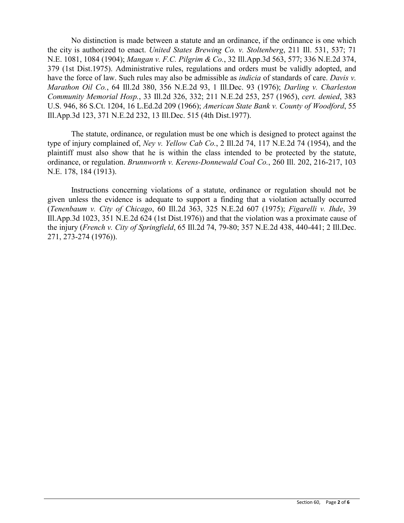No distinction is made between a statute and an ordinance, if the ordinance is one which the city is authorized to enact. *United States Brewing Co. v. Stoltenberg*, 211 Ill. 531, 537; 71 N.E. 1081, 1084 (1904); *Mangan v. F.C. Pilgrim & Co.*, 32 Ill.App.3d 563, 577; 336 N.E.2d 374, 379 (1st Dist.1975). Administrative rules, regulations and orders must be validly adopted, and have the force of law. Such rules may also be admissible as *indicia* of standards of care. *Davis v. Marathon Oil Co.*, 64 Ill.2d 380, 356 N.E.2d 93, 1 Ill.Dec. 93 (1976); *Darling v. Charleston Community Memorial Hosp.*, 33 Ill.2d 326, 332; 211 N.E.2d 253, 257 (1965), *cert. denied*, 383 U.S. 946, 86 S.Ct. 1204, 16 L.Ed.2d 209 (1966); *American State Bank v. County of Woodford*, 55 Ill.App.3d 123, 371 N.E.2d 232, 13 Ill.Dec. 515 (4th Dist.1977).

The statute, ordinance, or regulation must be one which is designed to protect against the type of injury complained of, *Ney v. Yellow Cab Co.*, 2 Ill.2d 74, 117 N.E.2d 74 (1954), and the plaintiff must also show that he is within the class intended to be protected by the statute, ordinance, or regulation. *Brunnworth v. Kerens-Donnewald Coal Co.*, 260 Ill. 202, 216-217, 103 N.E. 178, 184 (1913).

Instructions concerning violations of a statute, ordinance or regulation should not be given unless the evidence is adequate to support a finding that a violation actually occurred (*Tenenbaum v. City of Chicago*, 60 Ill.2d 363, 325 N.E.2d 607 (1975); *Figarelli v. Ihde*, 39 Ill.App.3d 1023, 351 N.E.2d 624 (1st Dist.1976)) and that the violation was a proximate cause of the injury (*French v. City of Springfield*, 65 Ill.2d 74, 79-80; 357 N.E.2d 438, 440-441; 2 Ill.Dec. 271, 273-274 (1976)).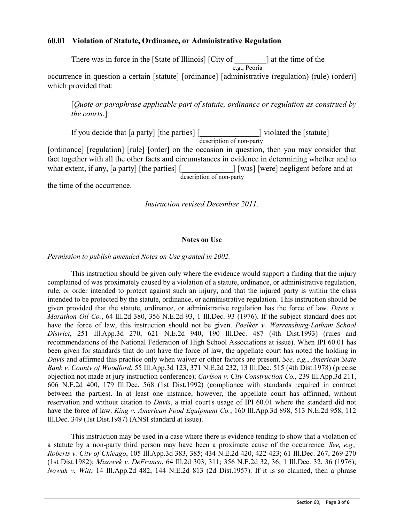## **60.01 Violation of Statute, Ordinance, or Administrative Regulation**

There was in force in the [State of Illinois] [City of \_\_\_\_\_\_\_\_] at the time of the

 e.g., Peoria occurrence in question a certain [statute] [ordinance] [administrative (regulation) (rule) (order)] which provided that:

[*Quote or paraphrase applicable part of statute, ordinance or regulation as construed by the courts.*]

If you decide that [a party] [the parties] [\_\_\_\_\_\_\_\_\_\_\_\_\_\_\_] violated the [statute] description of non-party [ordinance] [regulation] [rule] [order] on the occasion in question, then you may consider that fact together with all the other facts and circumstances in evidence in determining whether and to what extent, if any, [a party] [the parties] [\_\_\_\_\_\_\_\_\_\_\_\_\_] [was] [were] negligent before and at description of non-party

the time of the occurrence.

*Instruction revised December 2011.*

### **Notes on Use**

*Permission to publish amended Notes on Use granted in 2002.*

This instruction should be given only where the evidence would support a finding that the injury complained of was proximately caused by a violation of a statute, ordinance, or administrative regulation, rule, or order intended to protect against such an injury, and that the injured party is within the class intended to be protected by the statute, ordinance, or administrative regulation. This instruction should be given provided that the statute, ordinance, or administrative regulation has the force of law. *Davis v. Marathon Oil Co.*, 64 Ill.2d 380, 356 N.E.2d 93, 1 Ill.Dec. 93 (1976). If the subject standard does not have the force of law, this instruction should not be given. *Poelker v. Warrensburg-Latham School District*, 251 Ill.App.3d 270, 621 N.E.2d 940, 190 Ill.Dec. 487 (4th Dist.1993) (rules and recommendations of the National Federation of High School Associations at issue). When IPI 60.01 has been given for standards that do not have the force of law, the appellate court has noted the holding in *Davis* and affirmed this practice only when waiver or other factors are present. *See, e.g.*, *American State Bank v. County of Woodford*, 55 Ill.App.3d 123, 371 N.E.2d 232, 13 Ill.Dec. 515 (4th Dist.1978) (precise objection not made at jury instruction conference); *Carlson v. City Construction Co.*, 239 Ill.App.3d 211, 606 N.E.2d 400, 179 Ill.Dec. 568 (1st Dist.1992) (compliance with standards required in contract between the parties). In at least one instance, however, the appellate court has affirmed, without reservation and without citation to *Davis*, a trial court's usage of IPI 60.01 where the standard did not have the force of law. *King v. American Food Equipment Co.*, 160 Ill.App.3d 898, 513 N.E.2d 958, 112 Ill.Dec. 349 (1st Dist.1987) (ANSI standard at issue).

This instruction may be used in a case where there is evidence tending to show that a violation of a statute by a non-party third person may have been a proximate cause of the occurrence. *See, e.g., Roberts v. City of Chicago*, 105 Ill.App.3d 383, 385; 434 N.E.2d 420, 422-423; 61 Ill.Dec. 267, 269-270 (1st Dist.1982); *Mizowek v. DeFranco*, 64 Ill.2d 303, 311; 356 N.E.2d 32, 36; 1 Ill.Dec. 32, 36 (1976); *Nowak v. Witt*, 14 Ill.App.2d 482, 144 N.E.2d 813 (2d Dist.1957). If it is so claimed, then a phrase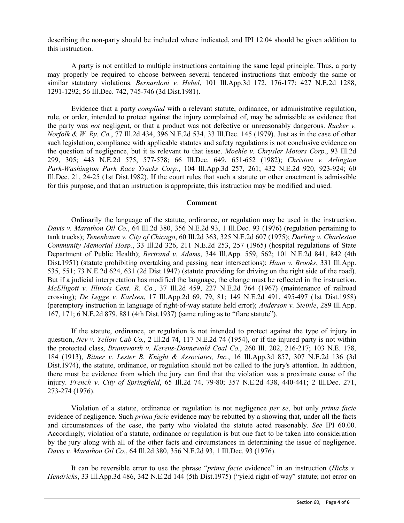describing the non-party should be included where indicated, and IPI 12.04 should be given addition to this instruction.

A party is not entitled to multiple instructions containing the same legal principle. Thus, a party may properly be required to choose between several tendered instructions that embody the same or similar statutory violations. *Bernardoni v. Hebel*, 101 Ill.App.3d 172, 176-177; 427 N.E.2d 1288, 1291-1292; 56 Ill.Dec. 742, 745-746 (3d Dist.1981).

Evidence that a party *complied* with a relevant statute, ordinance, or administrative regulation, rule, or order, intended to protect against the injury complained of, may be admissible as evidence that the party was *not* negligent, or that a product was not defective or unreasonably dangerous. *Rucker v. Norfolk & W. Ry. Co.*, 77 Ill.2d 434, 396 N.E.2d 534, 33 Ill.Dec. 145 (1979). Just as in the case of other such legislation, compliance with applicable statutes and safety regulations is not conclusive evidence on the question of negligence, but it is relevant to that issue. *Moehle v. Chrysler Motors Corp*., 93 Ill.2d 299, 305; 443 N.E.2d 575, 577-578; 66 Ill.Dec. 649, 651-652 (1982); *Christou v. Arlington Park-Washington Park Race Tracks Corp.*, 104 Ill.App.3d 257, 261; 432 N.E.2d 920, 923-924; 60 Ill.Dec. 21, 24-25 (1st Dist.1982). If the court rules that such a statute or other enactment is admissible for this purpose, and that an instruction is appropriate, this instruction may be modified and used.

#### **Comment**

Ordinarily the language of the statute, ordinance, or regulation may be used in the instruction. *Davis v. Marathon Oil Co.*, 64 Ill.2d 380, 356 N.E.2d 93, 1 Ill.Dec. 93 (1976) (regulation pertaining to tank trucks); *Tenenbaum v. City of Chicago*, 60 Ill.2d 363, 325 N.E.2d 607 (1975); *Darling v. Charleston Community Memorial Hosp.*, 33 Ill.2d 326, 211 N.E.2d 253, 257 (1965) (hospital regulations of State Department of Public Health); *Bertrand v. Adams*, 344 Ill.App. 559, 562; 101 N.E.2d 841, 842 (4th Dist.1951) (statute prohibiting overtaking and passing near intersections); *Hann v. Brooks*, 331 Ill.App. 535, 551; 73 N.E.2d 624, 631 (2d Dist.1947) (statute providing for driving on the right side of the road). But if a judicial interpretation has modified the language, the change must be reflected in the instruction. *McElligott v. Illinois Cent. R. Co.*, 37 Ill.2d 459, 227 N.E.2d 764 (1967) (maintenance of railroad crossing); *De Legge v. Karlsen*, 17 Ill.App.2d 69, 79, 81; 149 N.E.2d 491, 495-497 (1st Dist.1958) (peremptory instruction in language of right-of-way statute held error); *Anderson v. Steinle*, 289 Ill.App. 167, 171; 6 N.E.2d 879, 881 (4th Dist.1937) (same ruling as to "flare statute").

If the statute, ordinance, or regulation is not intended to protect against the type of injury in question, *Ney v. Yellow Cab Co.*, 2 Ill.2d 74, 117 N.E.2d 74 (1954), or if the injured party is not within the protected class, *Brunnworth v. Kerens-Donnewald Coal Co.*, 260 Ill. 202, 216-217; 103 N.E. 178, 184 (1913), *Bitner v. Lester B. Knight & Associates, Inc.*, 16 Ill.App.3d 857, 307 N.E.2d 136 (3d Dist.1974), the statute, ordinance, or regulation should not be called to the jury's attention. In addition, there must be evidence from which the jury can find that the violation was a proximate cause of the injury. *French v. City of Springfield*, 65 Ill.2d 74, 79-80; 357 N.E.2d 438, 440-441; 2 Ill.Dec. 271, 273-274 (1976).

Violation of a statute, ordinance or regulation is not negligence *per se*, but only *prima facie* evidence of negligence. Such *prima facie* evidence may be rebutted by a showing that, under all the facts and circumstances of the case, the party who violated the statute acted reasonably. *See* IPI 60.00. Accordingly, violation of a statute, ordinance or regulation is but one fact to be taken into consideration by the jury along with all of the other facts and circumstances in determining the issue of negligence. *Davis v. Marathon Oil Co.*, 64 Ill.2d 380, 356 N.E.2d 93, 1 Ill.Dec. 93 (1976).

It can be reversible error to use the phrase "*prima facie* evidence" in an instruction (*Hicks v. Hendricks*, 33 Ill.App.3d 486, 342 N.E.2d 144 (5th Dist.1975) ("yield right-of-way" statute; not error on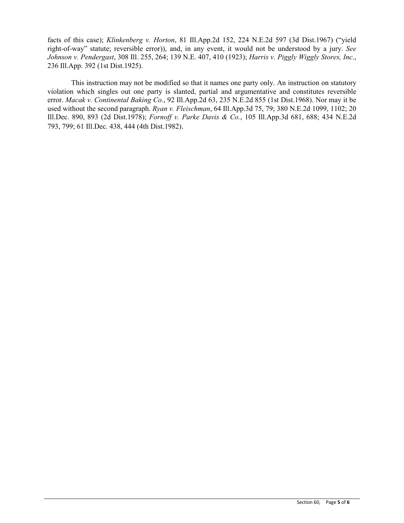facts of this case); *Klinkenberg v. Horton*, 81 Ill.App.2d 152, 224 N.E.2d 597 (3d Dist.1967) ("yield right-of-way" statute; reversible error)), and, in any event, it would not be understood by a jury. *See Johnson v. Pendergast*, 308 Ill. 255, 264; 139 N.E. 407, 410 (1923); *Harris v. Piggly Wiggly Stores, Inc*., 236 Ill.App. 392 (1st Dist.1925).

This instruction may not be modified so that it names one party only. An instruction on statutory violation which singles out one party is slanted, partial and argumentative and constitutes reversible error. *Macak v. Continental Baking Co.*, 92 Ill.App.2d 63, 235 N.E.2d 855 (1st Dist.1968). Nor may it be used without the second paragraph. *Ryan v. Fleischman*, 64 Ill.App.3d 75, 79; 380 N.E.2d 1099, 1102; 20 Ill.Dec. 890, 893 (2d Dist.1978); *Fornoff v. Parke Davis & Co.*, 105 Ill.App.3d 681, 688; 434 N.E.2d 793, 799; 61 Ill.Dec. 438, 444 (4th Dist.1982).